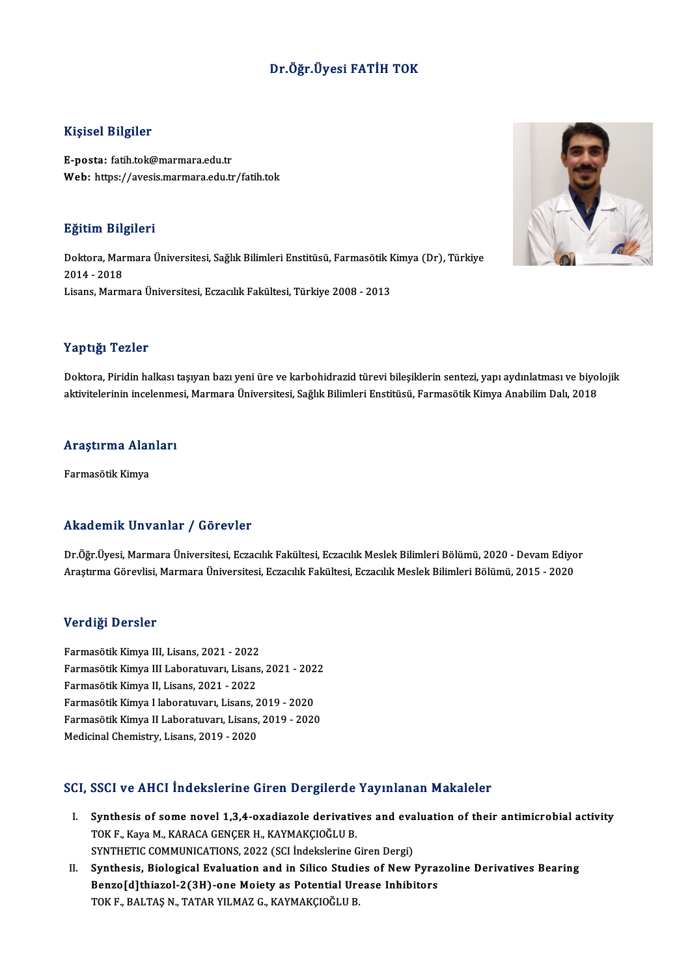### Dr.Öğr.Üyesi FATİH TOK

### Kişisel Bilgiler

E-posta: fatih.tok@marmara.edu.tr Web: https://avesis.marmara.edu.tr/fatih.tok

### Eğitim Bilgileri

**Eğitim Bilgileri**<br>Doktora, Marmara Üniversitesi, Sağlık Bilimleri Enstitüsü, Farmasötik Kimya (Dr), Türkiye<br>2014 - 2018 2321111 211<br>Doktora, Mar<br>2014 - 2018<br>Lisans, Marm Doktora, Marmara Üniversitesi, Sağlık Bilimleri Enstitüsü, Farmasötik k<br>2014 - 2018<br>Lisans, Marmara Üniversitesi, Eczacılık Fakültesi, Türkiye 2008 - 2013 Lisans, Marmara Üniversitesi, Eczacılık Fakültesi, Türkiye 2008 - 2013<br>Yaptığı Tezler

Doktora, Piridin halkası taşıyan bazı yeni üre ve karbohidrazid türevi bileşiklerin sentezi, yapı aydınlatması ve biyolojik aktivitelerinin incelenmesi, Marmara Üniversitesi, Sağlık Bilimleri Enstitüsü, Farmasötik Kimya Anabilim Dalı, 2018

# akuvitelerinin incelenme<br>Araştırma Alanları <mark>Araştırma Alar</mark><br>Farmasötik Kimya

# Akademik Unvanlar / Görevler

Akademik Unvanlar / Görevler<br>Dr.Öğr.Üyesi, Marmara Üniversitesi, Eczacılık Fakültesi, Eczacılık Meslek Bilimleri Bölümü, 2020 - Devam Ediyor<br>Arastırma Cörevlisi, Marmara Üniversitesi, Eczacılık Fakültesi, Eczacılık Meslek Arastıcının Girvaniar 7 tav soru<br>Dr.Öğr.Üyesi, Marmara Üniversitesi, Eczacılık Fakültesi, Eczacılık Meslek Bilimleri Bölümü, 2020 - Devam Ediyo<br>Araştırma Görevlisi, Marmara Üniversitesi, Eczacılık Fakültesi, Eczacılık Mesl Araştırma Görevlisi, Marmara Üniversitesi, Eczacılık Fakültesi, Eczacılık Meslek Bilimleri Bölümü, 2015 - 2020<br>Verdiği Dersler

Verdi<mark>ği Dersler</mark><br>Farmasötik Kimya III, Lisans, 2021 - 2022<br>Farmasötik Kimya III Labaratuvan, Lisans verlargi Berbier<br>Farmasötik Kimya III, Lisans, 2021 - 2022<br>Farmasötik Kimya III Laboratuvarı, Lisans, 2021 - 2022<br>Farmasötik Kimya II, Lisans, 2021 - 2022 Farmasötik Kimya III, Lisans, 2021 - 2022<br>Farmasötik Kimya III Laboratuvarı, Lisans<br>Farmasötik Kimya II, Lisans, 2021 - 2022<br>Farmasötik Kimya I laboratuvarı, Lisans Farmasötik Kimya III Laboratuvarı, Lisans, 2021 - 202<br>Farmasötik Kimya II, Lisans, 2021 - 2022<br>Farmasötik Kimya II laboratuvarı, Lisans, 2019 - 2020<br>Farmasötik Kimya II laboratuvarı, Lisans, 2019 - 2020 Farmasötik Kimya II, Lisans, 2021 - 2022<br>Farmasötik Kimya I laboratuvarı, Lisans, 2019 - 2020<br>Farmasötik Kimya II Laboratuvarı, Lisans, 2019 - 2020<br>Medicinal Chemistry, Lisans, 2019 - 2020 Farmasötik Kimya I laboratuvarı, Lisans, 2019 - 2020

### SCI, SSCI ve AHCI İndekslerine Giren Dergilerde Yayınlanan Makaleler

- CI, SSCI ve AHCI İndekslerine Giren Dergilerde Yayınlanan Makaleler<br>I. Synthesis of some novel 1,3,4-oxadiazole derivatives and evaluation of their antimicrobial activity<br>TOKE Kaya M. KARACA CENCER H. KAYMAKCIOČLU P. SOST VO TITUT INGURISITING UN UN DUIBRUTTU<br>Synthesis of some novel 1,3,4-oxadiazole derivativ<br>TOK F., Kaya M., KARACA GENÇER H., KAYMAKÇIOĞLU B. Synthesis of some novel 1,3,4-oxadiazole derivatives and eva<br>TOK F., Kaya M., KARACA GENÇER H., KAYMAKÇIOĞLU B.<br>SYNTHETIC COMMUNICATIONS, 2022 (SCI İndekslerine Giren Dergi)<br>Synthesis, Bialogisal Evaluation and in Silice S TOK F., Kaya M., KARACA GENÇER H., KAYMAKÇIOĞLU B.<br>SYNTHETIC COMMUNICATIONS, 2022 (SCI İndekslerine Giren Dergi)<br>II. Synthesis, Biological Evaluation and in Silico Studies of New Pyrazoline Derivatives Bearing<br>Penne Idlibi
- SYNTHETIC COMMUNICATIONS, 2022 (SCI İndekslerine Giren Dergi)<br>Synthesis, Biological Evaluation and in Silico Studies of New Pyra:<br>Benzo[d]thiazol-2(3H)-one Moiety as Potential Urease Inhibitors<br>TOKE BALTASN TATAR VUMAZ G K Synthesis, Biological Evaluation and in Silico Studi<br>Benzo[d]thiazol-2(3H)-one Moiety as Potential Uro<br>TOK F., BALTAŞ N., TATAR YILMAZ G., KAYMAKÇIOĞLU B.

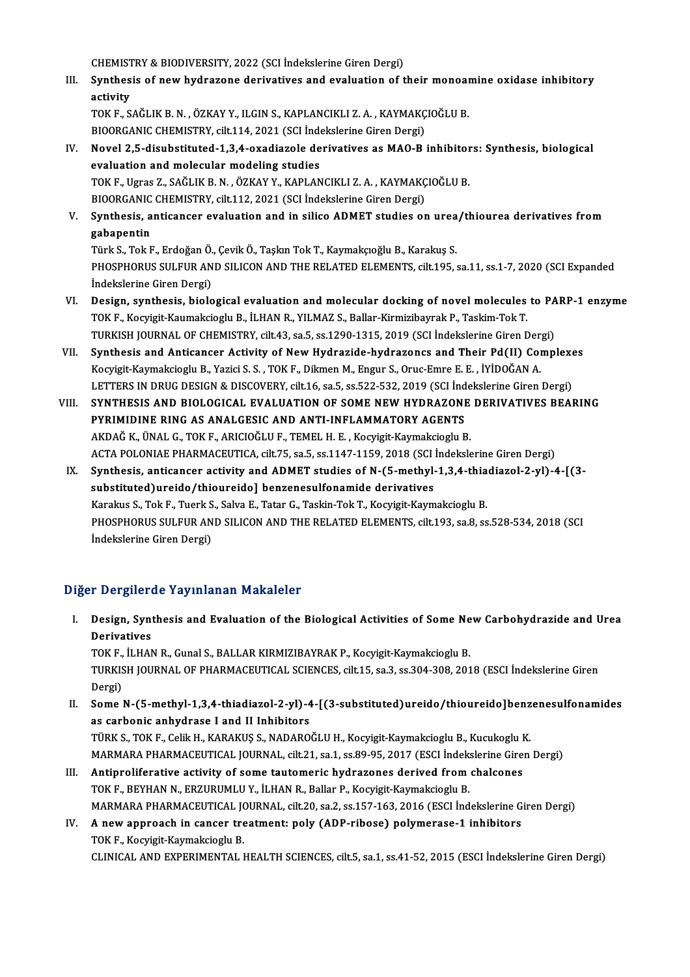CHEMISTRY & BIODIVERSITY, 2022 (SCI İndekslerine Giren Dergi)

CHEMISTRY & BIODIVERSITY, 2022 (SCI İndekslerine Giren Dergi)<br>III. Synthesis of new hydrazone derivatives and evaluation of their monoamine oxidase inhibitory<br>activity CHEMIST<br>Synthes<br>activity<br>TOK E S Synthesis of new hydrazone derivatives and evaluation of their monoar<br>activity<br>TOK F., SAĞLIK B.N. , ÖZKAY Y., ILGIN S., KAPLANCIKLI Z.A. , KAYMAKÇIOĞLU B.<br>PIOOPCANIC CHEMISTRY ,silt 114, 2021 (SCL Indekslerine Giren Dergi

activity<br>TOK F., SAĞLIK B. N. , ÖZKAY Y., ILGIN S., KAPLANCIKLI Z. A. , KAYMAKÇIOĞLU B.<br>BIOORGANIC CHEMISTRY, cilt.114, 2021 (SCI İndekslerine Giren Dergi)

TOK F., SAĞLIK B. N. , ÖZKAY Y., ILGIN S., KAPLANCIKLI Z. A. , KAYMAKÇIOĞLU B.<br>BIOORGANIC CHEMISTRY, cilt.114, 2021 (SCI İndekslerine Giren Dergi)<br>IV. Novel 2,5-disubstituted-1,3,4-oxadiazole derivatives as MAO-B inhibitor BIOORGANIC CHEMISTRY, cilt.114, 2021 (SCI İnde<br>Novel 2,5-disubstituted-1,3,4-oxadiazole de<br>evaluation and molecular modeling studies<br>TOKE Heree 7, SAČUKR N. ÖZKANN KABLAN Novel 2,5-disubstituted-1,3,4-oxadiazole derivatives as MAO-B inhibitor<br>evaluation and molecular modeling studies<br>TOK F., Ugras Z., SAĞLIK B. N. , ÖZKAY Y., KAPLANCIKLI Z. A. , KAYMAKÇIOĞLU B.<br>PIOOPCANIC CHEMISTRY silt 112 evaluation and molecular modeling studies<br>TOK F., Ugras Z., SAĞLIK B. N. , ÖZKAY Y., KAPLANCIKLI Z. A. , KAYMAKÇ<br>BIOORGANIC CHEMISTRY, cilt.112, 2021 (SCI İndekslerine Giren Dergi)<br>Synthesis, antisansar avaluation and in s

TOK F., Ugras Z., SAĞLIK B. N. , ÖZKAY Y., KAPLANCIKLI Z. A. , KAYMAKÇIOĞLU B.<br>BIOORGANIC CHEMISTRY, cilt.112, 2021 (SCI İndekslerine Giren Dergi)<br>V. Synthesis, anticancer evaluation and in silico ADMET studies on urea **BIOORGANIC<br>Synthesis, a<br>gabapentin<br>Türk S. Tok E** Synthesis, anticancer evaluation and in silico ADMET studies on urea<br>gabapentin<br>Türk S., Tok F., Erdoğan Ö., Çevik Ö., Taşkın Tok T., Kaymakçıoğlu B., Karakuş S.<br>puospuopus sul EUP AND SU ICON AND TUE PEL ATED ELEMENTS, si

**gabapentin**<br>Türk S., Tok F., Erdoğan Ö., Çevik Ö., Taşkın Tok T., Kaymakçıoğlu B., Karakuş S.<br>PHOSPHORUS SULFUR AND SILICON AND THE RELATED ELEMENTS, cilt.195, sa.11, ss.1-7, 2020 (SCI Expanded İndekslerine Giren Dergi) PHOSPHORUS SULFUR AND SILICON AND THE RELATED ELEMENTS, cilt.195, sa.11, ss.1-7, 2020 (SCI Expanded<br>indekslerine Giren Dergi)<br>VI. Design, synthesis, biological evaluation and molecular docking of novel molecules to PARP-1

- İndekslerine Giren Dergi)<br>Design, synthesis, biological evaluation and molecular docking of novel molecules<br>TOK F., Kocyigit-Kaumakcioglu B., İLHAN R., YILMAZ S., Ballar-Kirmizibayrak P., Taskim-Tok T.<br>TURKISH JOURNAL OF G Design, synthesis, biological evaluation and molecular docking of novel molecules to PA<br>TOK F., Kocyigit-Kaumakcioglu B., İLHAN R., YILMAZ S., Ballar-Kirmizibayrak P., Taskim-Tok T.<br>TURKISH JOURNAL OF CHEMISTRY, cilt.43, s TOK F., Kocyigit-Kaumakcioglu B., İLHAN R., YILMAZ S., Ballar-Kirmizibayrak P., Taskim-Tok T.<br>TURKISH JOURNAL OF CHEMISTRY, cilt.43, sa.5, ss.1290-1315, 2019 (SCI İndekslerine Giren Dergi)<br>VII. Synthesis and Anticancer Act
- Kocyigit-KaymakciogluB.,YaziciS.S. ,TOKF.,DikmenM.,Engur S.,Oruc-EmreE.E. , İYİDOĞANA. Synthesis and Anticancer Activity of New Hydrazide-hydrazoncs and Their Pd(II) Complexe<br>Kocyigit-Kaymakcioglu B., Yazici S. S. , TOK F., Dikmen M., Engur S., Oruc-Emre E. E. , İYİDOĞAN A.<br>LETTERS IN DRUG DESIGN & DISCOVERY
- VIII. SYNTHESIS AND BIOLOGICAL EVALUATION OF SOME NEW HYDRAZONE DERIVATIVES BEARING<br>PYRIMIDINE RING AS ANALGESIC AND ANTI-INFLAMMATORY AGENTS LETTERS IN DRUG DESIGN & DISCOVERY, cilt.16, sa.5, ss.522-532, 2019 (SCI Ind<br>SYNTHESIS AND BIOLOGICAL EVALUATION OF SOME NEW HYDRAZONE<br>PYRIMIDINE RING AS ANALGESIC AND ANTI-INFLAMMATORY AGENTS<br>AKDAČK, ÜNALG TOKE, APICIOČLU AKDAĞK.,ÜNALG.,TOKF.,ARICIOĞLUF.,TEMELH.E. ,Kocyigit-KaymakciogluB. PYRIMIDINE RING AS ANALGESIC AND ANTI-INFLAMMATORY AGENTS<br>AKDAĞ K., ÜNAL G., TOK F., ARICIOĞLU F., TEMEL H. E. , Kocyigit-Kaymakcioglu B.<br>ACTA POLONIAE PHARMACEUTICA, cilt.75, sa.5, ss.1147-1159, 2018 (SCI İndekslerine Gir AKDAĞ K., ÜNAL G., TOK F., ARICIOĞLU F., TEMEL H. E. , Kocyigit-Kaymakcioglu B.<br>ACTA POLONIAE PHARMACEUTICA, cilt.75, sa.5, ss.1147-1159, 2018 (SCI İndekslerine Giren Dergi)<br>IX. Synthesis, anticancer activity and ADMET stu
	- ACTA POLONIAE PHARMACEUTICA, cilt.75, sa.5, ss.1147-1159, 2018 (SCI ]<br>Synthesis, anticancer activity and ADMET studies of N-(5-methyl-<br>substituted)ureido/thioureido] benzenesulfonamide derivatives<br>Karalus S. Tok E. Tugrk S Synthesis, anticancer activity and ADMET studies of N-(5-methyl-1,3,4-thia<br>substituted)ureido/thioureido] benzenesulfonamide derivatives<br>Karakus S., Tok F., Tuerk S., Salva E., Tatar G., Taskin-Tok T., Kocyigit-Kaymakciogl substituted)ureido/thioureido] benzenesulfonamide derivatives<br>Karakus S., Tok F., Tuerk S., Salva E., Tatar G., Taskin-Tok T., Kocyigit-Kaymakcioglu B.<br>PHOSPHORUS SULFUR AND SILICON AND THE RELATED ELEMENTS, cilt.193, sa.8 Karakus S., Tok F., Tuerk S., Salva E., Tatar G., Taskin-Tok T., Kocyigit-Kaymakcioglu B.

### Diğer Dergilerde Yayınlanan Makaleler

iğer Dergilerde Yayınlanan Makaleler<br>I. Design, Synthesis and Evaluation of the Biological Activities of Some New Carbohydrazide and Urea<br>Regivetives n Bergher<br>Design, Synt<br>Derivatives<br>TOV E . II HAN Design, Synthesis and Evaluation of the Biological Activities of Some Ne<br>Derivatives<br>TOK F., İLHAN R., Gunal S., BALLAR KIRMIZIBAYRAK P., Kocyigit-Kaymakcioglu B.<br>TURKISH JOURNAL OF RHARMACEUTICAL SCIENCES. 611:15, 53,3,55

Derivatives<br>TOK F., İLHAN R., Gunal S., BALLAR KIRMIZIBAYRAK P., Kocyigit-Kaymakcioglu B.<br>TURKISH JOURNAL OF PHARMACEUTICAL SCIENCES, cilt.15, sa.3, ss.304-308, 2018 (ESCI İndekslerine Giren<br>Dergi) TOK F.,<br>TURKIS<br>Dergi)<br>Sama TURKISH JOURNAL OF PHARMACEUTICAL SCIENCES, cilt.15, sa.3, ss.304-308, 2018 (ESCI İndekslerine Giren<br>Dergi)<br>II. Some N-(5-methyl-1,3,4-thiadiazol-2-yl)-4-[(3-substituted)ureido/thioureido]benzenesulfonamides<br>As sarbanis an

- Dergi)<br>Some N-(5-methyl-1,3,4-thiadiazol-2-yl)-4<br>as carbonic anhydrase I and II Inhibitors<br>TÜRKS TOKE ColikH KARAKUSS NADARO Some N-(5-methyl-1,3,4-thiadiazol-2-yl)-4-[(3-substituted)ureido/thioureido]benz<br>as carbonic anhydrase I and II Inhibitors<br>TÜRK S., TOK F., Celik H., KARAKUŞ S., NADAROĞLU H., Kocyigit-Kaymakcioglu B., Kucukoglu K.<br>MARMARA as carbonic anhydrase I and II Inhibitors<br>TÜRK S., TOK F., Celik H., KARAKUŞ S., NADAROĞLU H., Kocyigit-Kaymakcioglu B., Kucukoglu K.<br>MARMARA PHARMACEUTICAL JOURNAL, cilt.21, sa.1, ss.89-95, 2017 (ESCI İndekslerine Giren D
- TÜRK S., TOK F., Celik H., KARAKUŞ S., NADAROĞLU H., Kocyigit-Kaymakcioglu B., Kucukoglu I.<br>MARMARA PHARMACEUTICAL JOURNAL, cilt.21, sa.1, ss.89-95, 2017 (ESCI İndekslerine Gire:<br>III. Antiproliferative activity of some tau MARMARA PHARMACEUTICAL JOURNAL, cilt.21, sa.1, ss.89-95, 2017 (ESCI İndekslerine Giren Dergi)<br>III. Antiproliferative activity of some tautomeric hydrazones derived from chalcones<br>TOK F., BEYHAN N., ERZURUMLU Y., İLHAN R., Antiproliferative activity of some tautomeric hydrazones derived from chalcones<br>TOK F., BEYHAN N., ERZURUMLU Y., İLHAN R., Ballar P., Kocyigit-Kaymakcioglu B.<br>MARMARA PHARMACEUTICAL JOURNAL, cilt.20, sa.2, ss.157-163, 2016 TOK F., BEYHAN N., ERZURUMLU Y., İLHAN R., Ballar P., Kocyigit-Kaymakcioglu B.<br>MARMARA PHARMACEUTICAL JOURNAL, cilt.20, sa.2, ss.157-163, 2016 (ESCI İndekslerine G<br>IV. A new approach in cancer treatment: poly (ADP-ribose)

## MARMARA PHARMACEUTICAL JONARMARA PHARMACEUTICAL JONARY THE TOKEN AND EXPERIMENTAL LAND EXPERIMENTAL L IV. A new approach in cancer treatment: poly (ADP-ribose) polymerase-1 inhibitors<br>TOK F., Kocyigit-Kaymakcioglu B.<br>CLINICAL AND EXPERIMENTAL HEALTH SCIENCES, cilt.5, sa.1, ss.41-52, 2015 (ESCI İndekslerine Giren Dergi)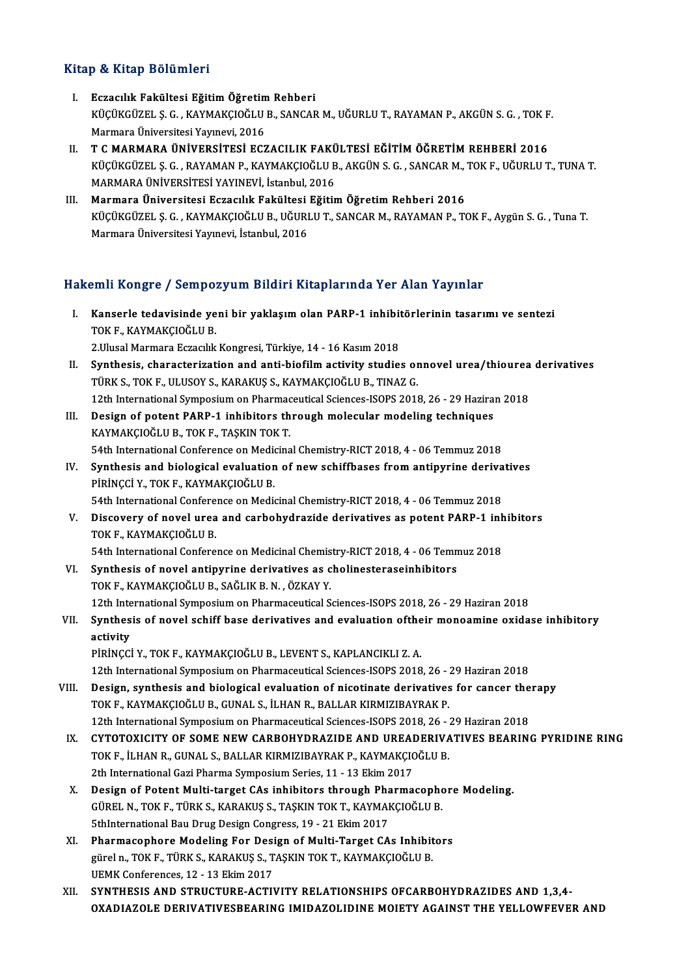### Kitap & Kitap Bölümleri

- I. Eczacılık Fakültesi EğitimÖğretimRehberi P & IIIdip Boldinici I<br>Eczacılık Fakültesi Eğitim Öğretim Rehberi<br>KÜÇÜKGÜZEL Ş. G. , KAYMAKÇIOĞLU B., SANCAR M., UĞURLU T., RAYAMAN P., AKGÜN S. G. , TOK F.<br>Marmara Üniversitesi Yayınavi 2016 Eczacılık Fakültesi Eğitim Öğretim<br>KÜÇÜKGÜZEL Ş. G. , KAYMAKÇIOĞLU<br>Marmara Üniversitesi Yayınevi, 2016<br>T. C. MARMARA ÜNİVERSİTESİ ECZ KÜÇÜKGÜZEL Ş. G. , KAYMAKÇIOĞLU B., SANCAR M., UĞURLU T., RAYAMAN P., AKGÜN S. G. , TOK F<br>Marmara Üniversitesi Yayınevi, 2016<br>II. T C MARMARA ÜNİVERSİTESİ ECZACILIK FAKÜLTESİ EĞİTİM ÖĞRETİM REHBERİ 2016<br>KÜÇÜKÇÜZEL S G.
- Marmara Üniversitesi Yayınevi, 2016<br>T C MARMARA ÜNİVERSİTESİ ECZACILIK FAKÜLTESİ EĞİTİM ÖĞRETİM REHBERİ 2016<br>KÜÇÜKGÜZEL Ş. G. , RAYAMAN P., KAYMAKÇIOĞLU B., AKGÜN S. G. , SANCAR M., TOK F., UĞURLU T., TUNA T.<br>MARMARA ÜNİVE T C MARMARA ÜNİVERSİTESİ ECZACILIK FAKÜ<br>KÜÇÜKGÜZEL Ş. G. , RAYAMAN P., KAYMAKÇIOĞLU B<br>MARMARA ÜNİVERSİTESİ YAYINEVİ, İstanbul, 2016<br>Marmara Üniversitesi Estasılık Fakültesi Eğitir
- MARMARA ÜNIVERSITESI YAYINEVI, İstanbul, 2016<br>III. Marmara Üniversitesi Eczacılık Fakültesi Eğitim Öğretim Rehberi 2016 KÜÇÜKGÜZEL Ş.G. ,KAYMAKÇIOĞLUB.,UĞURLUT.,SANCARM.,RAYAMANP.,TOKF.,AygünS.G. ,TunaT. MarmaraÜniversitesiYayınevi, İstanbul,2016

### Hakemli Kongre / Sempozyum Bildiri Kitaplarında Yer Alan Yayınlar

- akemli Kongre / Sempozyum Bildiri Kitaplarında Yer Alan Yayınlar<br>I. Kanserle tedavisinde yeni bir yaklaşım olan PARP-1 inhibitörlerinin tasarımı ve sentezi<br>TOKE KAYMAKÇIQĞLU P TOKF.,KAYMAKÇIOĞLUB. Kanserle tedavisinde yeni bir yaklaşım olan PARP-1 inhibit<br>TOK F., KAYMAKÇIOĞLU B.<br>2.Ulusal Marmara Eczacılık Kongresi, Türkiye, 14 - 16 Kasım 2018<br>Synthesis, sharasterisation and anti-biofilm astivity studio 2. Ulusal Marmara Eczacılık Kongresi, Türkiye, 14 - 16 Kasım 2018
- TOK F., KAYMAKÇIOĞLU B.<br>2.Ulusal Marmara Eczacılık Kongresi, Türkiye, 14 16 Kasım 2018<br>II. Synthesis, characterization and anti-biofilm activity studies onnovel urea/thiourea derivatives<br>TÜRK S., TOK F., ULUSOY S., KARAK Synthesis, characterization and anti-biofilm activity studies onnovel urea/thiourea<br>TÜRK S., TOK F., ULUSOY S., KARAKUŞ S., KAYMAKÇIOĞLU B., TINAZ G.<br>12th International Symposium on Pharmaceutical Sciences-ISOPS 2018, 26 -TÜRK S., TOK F., ULUSOY S., KARAKUŞ S., KAYMAKÇIOĞLU B., TINAZ G.<br>12th International Symposium on Pharmaceutical Sciences-ISOPS 2018, 26 - 29 Hazira:<br>III. Design of potent PARP-1 inhibitors through molecular modeling techn
- 12th International Symposium on Pharmac<br>Design of potent PARP-1 inhibitors th<br>KAYMAKÇIOĞLU B., TOK F., TAŞKIN TOK T.<br>E4th International Conference on Modisine III. Design of potent PARP-1 inhibitors through molecular modeling techniques<br>KAYMAKÇIOĞLU B., TOK F., TAŞKIN TOK T.<br>54th International Conference on Medicinal Chemistry-RICT 2018, 4 - 06 Temmuz 2018 KAYMAKÇIOĞLU B., TOK F., TAŞKIN TOK T.<br>54th International Conference on Medicinal Chemistry-RICT 2018, 4 - 06 Temmuz 2018<br>IV. Synthesis and biological evaluation of new schiffbases from antipyrine derivatives<br>pipinicei y.
- 54th International Conference on Medion<br>Synthesis and biological evaluation<br>PİRİNÇCİ Y., TOK F., KAYMAKÇIOĞLU B.<br>E4th International Conference on Medio Synthesis and biological evaluation of new schiffbases from antipyrine deriva<br>PİRİNÇCİ Y., TOK F., KAYMAKÇIOĞLU B.<br>54th International Conference on Medicinal Chemistry-RICT 2018, 4 - 06 Temmuz 2018<br>Discovery of novel urea 54th International Conference on Medicinal Chemistry-RICT 2018, 4 - 06 Temmuz 2018
- PİRİNÇCİ Y., TOK F., KAYMAKÇIOĞLU B.<br>54th International Conference on Medicinal Chemistry-RICT 2018, 4 06 Temmuz 2018<br>V. Discovery of novel urea and carbohydrazide derivatives as potent PARP-1 inhibitors<br>TOK F., KAYM Discovery of novel urea and carbohydrazide derivatives as potent PARP-1 inh<br>TOK F., KAYMAKÇIOĞLU B.<br>54th International Conference on Medicinal Chemistry-RICT 2018, 4 - 06 Temmuz 2018<br>Synthesis of novel ontinuring derivativ

TOK F., KAYMAKÇIOĞLU B.<br>54th International Conference on Medicinal Chemistry-RICT 2018, 4 - 06 Temn<br>VI. Synthesis of novel antipyrine derivatives as cholinesteraseinhibitors<br>TOK E. KAYMAKCIOĞLU B. SAĞLIK B. N. ÖZKAY V. 54th International Conference on Medicinal Chemis<br>Synthesis of novel antipyrine derivatives as c<br>TOK F., KAYMAKÇIOĞLU B., SAĞLIK B.N. , ÖZKAY Y.<br>12th International Symnosium on Pharmaseutical S Synthesis of novel antipyrine derivatives as cholinesteraseinhibitors<br>12th International Symposium on Pharmaceutical Sciences-ISOPS 2018, 26 - 29 Haziran 2018<br>Synthesis of novel sebiff base derivatives and evaluation of th TOK F., KAYMAKÇIOĞLU B., SAĞLIK B. N. , ÖZKAY Y.<br>12th International Symposium on Pharmaceutical Sciences-ISOPS 2018, 26 - 29 Haziran 2018<br>VII. Synthesis of novel schiff base derivatives and evaluation oftheir monoamine oxi

## 12th Inte<br>Synthes<br>activity<br>pipincci Synthesis of novel schiff base derivatives and evaluation ofthe<br>activity<br>PİRİNÇCİ Y., TOK F., KAYMAKÇIOĞLU B., LEVENT S., KAPLANCIKLI Z. A.<br>12th International Symposium on Pharmaceutical Sciences ISOPS 2019

activity<br>12th International Symposium on Pharmaceutical Sciences-ISOPS 2018, 26 - 29 Haziran 2018<br>12th International Symposium on Pharmaceutical Sciences-ISOPS 2018, 26 - 29 Haziran 2018 PIRINÇCI Y., TOK F., KAYMAKÇIOĞLU B., LEVENT S., KAPLANCIKLI Z. A.<br>12th International Symposium on Pharmaceutical Sciences-ISOPS 2018, 26 - 29 Haziran 2018<br>VIII. Design, synthesis and biological evaluation of nicotinate de

- TOK F., KAYMAKÇIOĞLU B., GUNAL S., İLHAN R., BALLAR KIRMIZIBAYRAK P.<br>12th International Symposium on Pharmaceutical Sciences-ISOPS 2018, 26 29 Haziran 2018 Design, synthesis and biological evaluation of nicotinate derivatives for cancer the<br>TOK F., KAYMAKÇIOĞLU B., GUNAL S., İLHAN R., BALLAR KIRMIZIBAYRAK P.<br>12th International Symposium on Pharmaceutical Sciences-ISOPS 2018,
- IX. CYTOTOXICITY OF SOME NEWCARBOHYDRAZIDE AND UREADERIVATIVES BEARING PYRIDINE RING 12th International Symposium on Pharmaceutical Sciences-ISOPS 2018, 26 - 7<br>CYTOTOXICITY OF SOME NEW CARBOHYDRAZIDE AND UREADERIVA<br>TOK F., İLHAN R., GUNAL S., BALLAR KIRMIZIBAYRAK P., KAYMAKÇIOĞLU B. CYTOTOXICITY OF SOME NEW CARBOHYDRAZIDE AND UREAI<br>TOK F., İLHAN R., GUNAL S., BALLAR KIRMIZIBAYRAK P., KAYMAKÇIO<br>2th International Gazi Pharma Symposium Series, 11 - 13 Ekim 2017<br>Design of Betent Multi target CAs inhibitor TOK F., İLHAN R., GUNAL S., BALLAR KIRMIZIBAYRAK P., KAYMAKÇIOĞLU B.<br>2th International Gazi Pharma Symposium Series, 11 - 13 Ekim 2017<br>X. Design of Potent Multi-target CAs inhibitors through Pharmacophore Modeling.<br>CÜPEL N
- 2th International Gazi Pharma Symposium Series, 11 13 Ekim 2017<br>Design of Potent Multi-target CAs inhibitors through Pharmacopho<br>GÜREL N., TOK F., TÜRK S., KARAKUŞ S., TAŞKIN TOK T., KAYMAKÇIOĞLU B.<br>Ethinternational Pau Design of Potent Multi-target CAs inhibitors through Pha<br>GÜREL N., TOK F., TÜRK S., KARAKUŞ S., TAŞKIN TOK T., KAYMAH<br>5thInternational Bau Drug Design Congress, 19 - 21 Ekim 2017<br>Pharmasonhore Modeling For Design of Multi GÜREL N., TOK F., TÜRK S., KARAKUŞ S., TAŞKIN TOK T., KAYMAKÇIOĞLU B.<br>5thInternational Bau Drug Design Congress, 19 - 21 Ekim 2017<br>XI. Pharmacophore Modeling For Design of Multi-Target CAs Inhibitors<br>3. Tarih - Target CAs
- 5thInternational Bau Drug Design Congress, 19 21 Ekim 2017<br>Pharmacophore Modeling For Design of Multi-Target CAs Inhibit<br>gürel n., TOK F., TÜRK S., KARAKUŞ S., TAŞKIN TOK T., KAYMAKÇIOĞLU B.<br>UEMK Conferences, 12 12 Eki **Pharmacophore Modeling For Desi<br>gürel n., TOK F., TÜRK S., KARAKUŞ S., T<br>UEMK Conferences, 12 - 13 Ekim 2017<br>SYNTUESIS AND STRUCTURE ACTIN** gürel n., TOK F., TÜRK S., KARAKUŞ S., TAŞKIN TOK T., KAYMAKÇIOĞLU B.<br>UEMK Conferences, 12 - 13 Ekim 2017<br>XII. SYNTHESIS AND STRUCTURE-ACTIVITY RELATIONSHIPS OFCARBOHYDRAZIDES AND 1.3.4-
- OXADIAZOLE DERIVATIVESBEARING IMIDAZOLIDINE MOIETY AGAINST THE YELLOWFEVER AND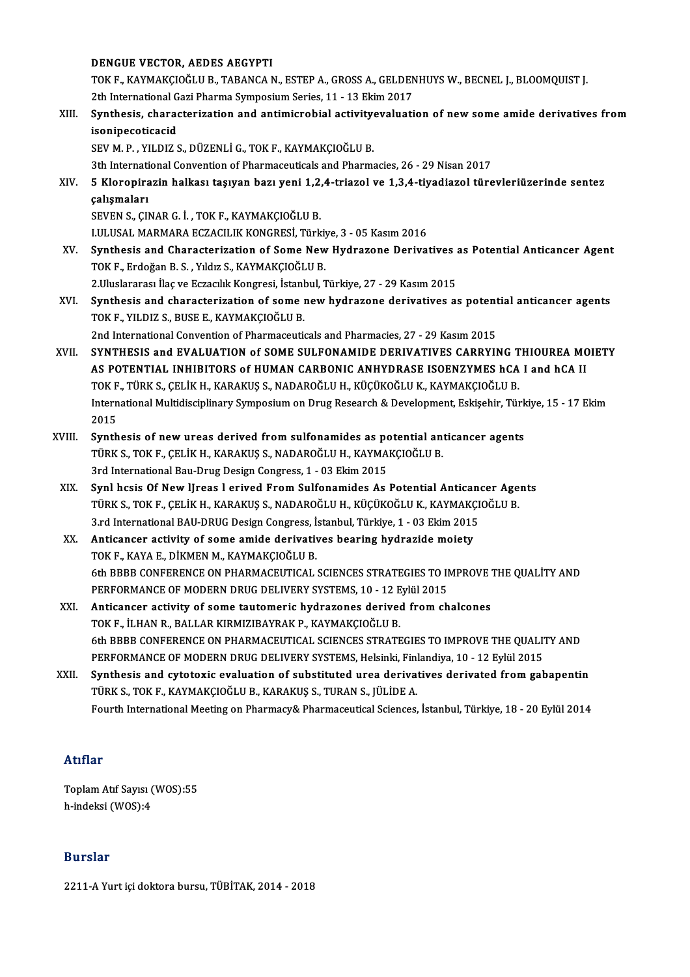#### DENGUE VECTOR, AEDES AEGYPTI

DENGUE VECTOR, AEDES AEGYPTI<br>TOK F., KAYMAKÇIOĞLU B., TABANCA N., ESTEP A., GROSS A., GELDENHUYS W., BECNEL J., BLOOMQUIST J.<br><sup>2th International Casi Pharma Sumnasium Sarias, 11, 12 Ekim 2017.</sup> DENGUE VECTOR, AEDES AEGYPTI<br>TOK F., KAYMAKÇIOĞLU B., TABANCA N., ESTEP A., GROSS A., GELDEN<br>2th International Gazi Pharma Symposium Series, 11 - 13 Ekim 2017<br>Synthesia, sharasteriration and antimisrabial astivitysyalyati TOK F., KAYMAKÇIOĞLU B., TABANCA N., ESTEP A., GROSS A., GELDENHUYS W., BECNEL J., BLOOMQUIST J.<br>2th International Gazi Pharma Symposium Series, 11 - 13 Ekim 2017<br>XIII. Synthesis, characterization and antimicrobial activit

### 2th International G<br>Synthesis, charad<br>isonipecoticacid<br>SEV M B VILDIZS isonipecoticacid<br>SEV M. P. , YILDIZ S., DÜZENLİ G., TOK F., KAYMAKÇIOĞLU B. isonipecoticacid<br>SEV M. P. , YILDIZ S., DÜZENLİ G., TOK F., KAYMAKÇIOĞLU B.<br>3th International Convention of Pharmaceuticals and Pharmacies, 26 - 29 Nisan 2017<br>5. Kloreniragin halkası tasıyan barı yoni 1,2,4 triagol ve 1,3,

XIV. 5 Kloropirazin halkası taşıyan bazı yeni 1,2,4-triazol ve 1,3,4-tiyadiazol türevleriüzerinde sentez 3th Internati<br>5 Kloropira<br>çalışmaları<br>seven s. Gu

SEVENS.,ÇINARG. İ. ,TOKF.,KAYMAKÇIOĞLUB.

I.ULUSALMARMARAECZACILIKKONGRESİ,Türkiye,3 -05Kasım2016

- XV. Synthesis and Characterization of Some NewHydrazone Derivatives as Potential Anticancer Agent TOK F., Erdoğan B. S., Yıldız S., KAYMAKÇIOĞLU B. Synthesis and Characterization of Some New Hydrazone Derivatives<br>2.Uluslararası İlaç ve Eczacılık Kongresi, İstanbul, Türkiye, 27 - 29 Kasım 2015<br>2.Uluslararası İlaç ve Eczacılık Kongresi, İstanbul, Türkiye, 27 - 29 Kasım TOK F., Erdoğan B. S. , Yıldız S., KAYMAKÇIOĞLU B.<br>2.Uluslararası İlaç ve Eczacılık Kongresi, İstanbul, Türkiye, 27 - 29 Kasım 2015<br>XVI. Synthesis and characterization of some new hydrazone derivatives as potential antican
- 2.Uluslararası İlaç ve Eczacılık Kongresi, İstanl<br>Synthesis and characterization of some i<br>TOK F., YILDIZ S., BUSE E., KAYMAKÇIOĞLU B.<br>2nd International Convention of Pharmaceuti Synthesis and characterization of some new hydrazone derivatives as potent<br>TOK F., YILDIZ S., BUSE E., KAYMAKÇIOĞLU B.<br>2nd International Convention of Pharmaceuticals and Pharmacies, 27 - 29 Kasım 2015<br>SYNTUESIS and EVALUA TOK F., YILDIZ S., BUSE E., KAYMAKÇIOĞLU B.<br>2nd International Convention of Pharmaceuticals and Pharmacies, 27 - 29 Kasım 2015<br>XVII. SYNTHESIS and EVALUATION of SOME SULFONAMIDE DERIVATIVES CARRYING THIOUREA MOIETY
- 2nd International Convention of Pharmaceuticals and Pharmacies, 27 29 Kasım 2015<br>SYNTHESIS and EVALUATION of SOME SULFONAMIDE DERIVATIVES CARRYING THIOUREA MC<br>AS POTENTIAL INHIBITORS of HUMAN CARBONIC ANHYDRASE ISOENZYME SYNTHESIS and EVALUATION of SOME SULFONAMIDE DERIVATIVES CARRYING T<br>AS POTENTIAL INHIBITORS of HUMAN CARBONIC ANHYDRASE ISOENZYMES hCA<br>TOK F., TÜRK S., ÇELİK H., KARAKUŞ S., NADAROĞLU H., KÜÇÜKOĞLU K., KAYMAKÇIOĞLU B.<br>Inte AS POTENTIAL INHIBITORS of HUMAN CARBONIC ANHYDRASE ISOENZYMES hCA I and hCA II<br>TOK F., TÜRK S., ÇELİK H., KARAKUŞ S., NADAROĞLU H., KÜÇÜKOĞLU K., KAYMAKÇIOĞLU B.<br>International Multidisciplinary Symposium on Drug Research TOK F<br>Intern<br>2015<br>Synth International Multidisciplinary Symposium on Drug Research & Development, Eskişehir, Türk<br>2015<br>XVIII. Synthesis of new ureas derived from sulfonamides as potential anticancer agents<br>TÜRKS TOKE CELIKH KARAKUSS NADAROČLUH KA
- 2015<br>Synthesis of new ureas derived from sulfonamides as potential ant<br>TÜRK S., TOK F., ÇELİK H., KARAKUŞ S., NADAROĞLU H., KAYMAKÇIOĞLU B.<br>2rd International Bay Drug Design Congress 1, 03 Ekim 2015 Synthesis of new ureas derived from sulfonamides as portinent in the S., TOK F., CELIK H., KARAKUŞ S., NADAROĞLU H., KAYMA<br>3rd International Bau-Drug Design Congress, 1 - 03 Ekim 2015<br>Synl besis Of Now Ureas Lariyed From S TÜRK S., TOK F., ÇELİK H., KARAKUŞ S., NADAROĞLU H., KAYMAKÇIOĞLU B.<br>3rd International Bau-Drug Design Congress, 1 - 03 Ekim 2015<br>XIX. Synl hcsis Of New IJreas l erived From Sulfonamides As Potential Anticancer Agents<br>TÜRK
- 3rd International Bau-Drug Design Congress, 1 03 Ekim 2015<br>Synl hcsis Of New IJreas 1 erived From Sulfonamides As Potential Anticancer Age<br>TÜRK S., TOK F., ÇELİK H., KARAKUŞ S., NADAROĞLU H., KÜÇÜKOĞLU K., KAYMAKÇIOĞLU B Synl hcsis Of New IJreas 1 erived From Sulfonamides As Potential Anticana<br>TÜRK S., TOK F., ÇELİK H., KARAKUŞ S., NADAROĞLU H., KÜÇÜKOĞLU K., KAYMAKÇI<br>3.rd International BAU-DRUG Design Congress, İstanbul, Türkiye, 1 - 03 E TÜRK S., TOK F., ÇELİK H., KARAKUŞ S., NADAROĞLU H., KÜÇÜKOĞLU K., KAYMAKÇ<br>3.rd International BAU-DRUG Design Congress, İstanbul, Türkiye, 1 - 03 Ekim 2015<br>XX. Anticancer activity of some amide derivatives bearing hydrazid
- 3.rd International BAU-DRUG Design Congress, İ.<br>**Anticancer activity of some amide derivativ**<br>TOK F., KAYA E., DİKMEN M., KAYMAKÇIOĞLU B.<br>6th PPPP CONEERENCE ON PHARMACEUTICAL TOK F., KAYA E., DİKMEN M., KAYMAKÇIOĞLU B.<br>6th BBBB CONFERENCE ON PHARMACEUTICAL SCIENCES STRATEGIES TO IMPROVE THE QUALİTY AND TOK F., KAYA E., DİKMEN M., KAYMAKÇIOĞLU B.<br>6th BBBB CONFERENCE ON PHARMACEUTICAL SCIENCES STRATEGIES TO IN<br>PERFORMANCE OF MODERN DRUG DELIVERY SYSTEMS, 10 - 12 Eylül 2015<br>Antisanson astivity of sama tautamanis bydnazansa
- XXI. Anticancer activity of some tautomeric hydrazones derived from chalcones<br>TOK F., İLHAN R., BALLAR KIRMIZIBAYRAK P., KAYMAKÇIOĞLU B. PERFORMANCE OF MODERN DRUG DELIVERY SYSTEMS, 10 - 12 E<br>Anticancer activity of some tautomeric hydrazones derived<br>TOK F., İLHAN R., BALLAR KIRMIZIBAYRAK P., KAYMAKÇIOĞLU B.<br>Eth PRPP CONEERENCE ON PHARMACEUTICAL SCIENCES STR Anticancer activity of some tautomeric hydrazones derived from chalcones<br>TOK F., İLHAN R., BALLAR KIRMIZIBAYRAK P., KAYMAKÇIOĞLU B.<br>6th BBBB CONFERENCE ON PHARMACEUTICAL SCIENCES STRATEGIES TO IMPROVE THE QUALITY AND<br>REREO TOK F., İLHAN R., BALLAR KIRMIZIBAYRAK P., KAYMAKÇIOĞLU B.<br>6th BBBB CONFERENCE ON PHARMACEUTICAL SCIENCES STRATEGIES TO IMPROVE THE QUALIT<br>PERFORMANCE OF MODERN DRUG DELIVERY SYSTEMS, Helsinki, Finlandiya, 10 - 12 Eylül 20 6th BBBB CONFERENCE ON PHARMACEUTICAL SCIENCES STRATEGIES TO IMPROVE THE QUALITY AND<br>PERFORMANCE OF MODERN DRUG DELIVERY SYSTEMS, Helsinki, Finlandiya, 10 - 12 Eylül 2015<br>XXII. Synthesis and cytotoxic evaluation of substit
- PERFORMANCE OF MODERN DRUG DELIVERY SYSTEMS, Helsinki, Finlandiya, 10 12 Eylül 2015<br>Synthesis and cytotoxic evaluation of substituted urea derivatives derivated from gabapentin<br>TÜRK S., TOK F., KAYMAKÇIOĞLU B., KARAKUŞ S Fourth International Meeting on Pharmacy& Pharmaceutical Sciences, İstanbul, Türkiye, 18 - 20 Eylül 2014

### Atıflar

ToplamAtıf Sayısı (WOS):55 h-indeksi (WOS):4

### Burslar

2211-AYurt içidoktora bursu,TÜBİTAK,2014 -2018